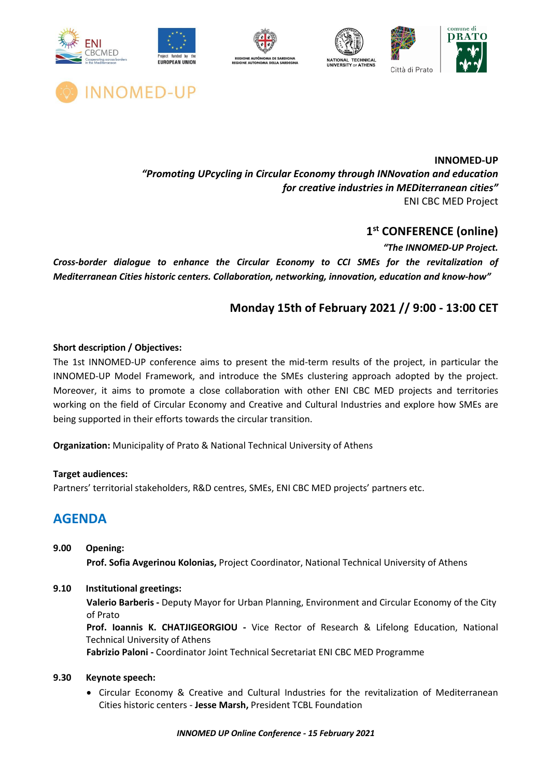



**INNOMED-UP** *"Promoting UPcycling in Circular Economy through INNovation and education for creative industries in MEDiterranean cities"* ENI CBC MED Project

## **1st CONFERENCE (online)**

*"The INNOMED-UP Project.* 

*Cross-border dialogue to enhance the Circular Economy to CCI SMEs for the revitalization of Mediterranean Cities historic centers. Collaboration, networking, innovation, education and know-how"*

## **Monday 15th of February 2021 // 9:00 - 13:00 CET**

## **Short description / Objectives:**

The 1st INNOMED-UP conference aims to present the mid-term results of the project, in particular the INNOMED-UP Model Framework, and introduce the SMEs clustering approach adopted by the project. Moreover, it aims to promote a close collaboration with other ENI CBC MED projects and territories working on the field of Circular Economy and Creative and Cultural Industries and explore how SMEs are being supported in their efforts towards the circular transition.

**Organization:** Municipality of Prato & National Technical University of Athens

## **Target audiences:**

Partners' territorial stakeholders, R&D centres, SMEs, ENI CBC MED projects' partners etc.

# **AGENDA**

- **9.00 Opening: Prof. Sofia Avgerinou Kolonias,** Project Coordinator, National Technical University of Athens
- **9.10 Institutional greetings:**

**Valerio Barberis -** Deputy Mayor for Urban Planning, Environment and Circular Economy of the City of Prato

**Prof. Ioannis K. CHATJIGEORGIOU -** Vice Rector of Research & Lifelong Education, National Technical University of Athens

**Fabrizio Paloni -** Coordinator Joint Technical Secretariat ENI CBC MED Programme

## **9.30 Keynote speech:**

• Circular Economy & Creative and Cultural Industries for the revitalization of Mediterranean Cities historic centers - **Jesse Marsh,** President TCBL Foundation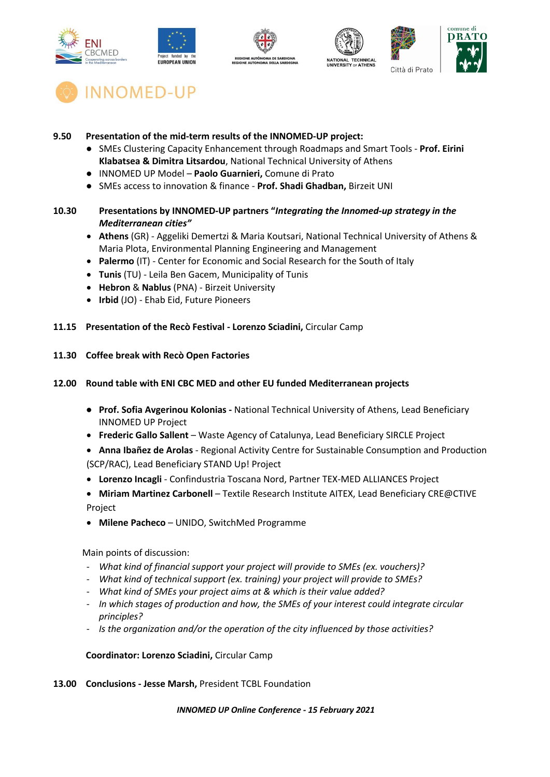











## **9.50 Presentation of the mid-term results of the INNOMED-UP project:**

- SMEs Clustering Capacity Enhancement through Roadmaps and Smart Tools **Prof. Eirini Klabatsea & Dimitra Litsardou**, National Technical University of Athens
- INNOMED UP Model **Paolo Guarnieri,** Comune di Prato
- SMEs access to innovation & finance **Prof. Shadi Ghadban,** Birzeit UNI
- **10.30 Presentations by INNOMED-UP partners "***Integrating the Innomed-up strategy in the Mediterranean cities"* 
	- **Athens** (GR) Aggeliki Demertzi & Maria Koutsari, National Technical University of Athens & Maria Plota, Environmental Planning Engineering and Management
	- **Palermo** (IT) Center for Economic and Social Research for the South of Italy
	- **Tunis** (TU) Leila Ben Gacem, Municipality of Tunis
	- **Hebron** & **Nablus** (PNA) Birzeit University
	- **Irbid** (JO) Ehab Eid, Future Pioneers
- **11.15 Presentation of the Recò Festival - Lorenzo Sciadini,** Circular Camp
- **11.30 Coffee break with Recò Open Factories**

#### **12.00 Round table with ENI CBC MED and other EU funded Mediterranean projects**

- **Prof. Sofia Avgerinou Kolonias -** National Technical University of Athens, Lead Beneficiary INNOMED UP Project
- **Frederic Gallo Sallent** Waste Agency of Catalunya, Lead Beneficiary SIRCLE Project
- **Anna Ibañez de Arolas** Regional Activity Centre for Sustainable Consumption and Production (SCP/RAC), Lead Beneficiary STAND Up! Project
- **Lorenzo Incagli** Confindustria Toscana Nord, Partner TEX-MED ALLIANCES Project
- **Miriam Martinez Carbonell**  Textile Research Institute AITEX, Lead Beneficiary CRE@CTIVE Project
- **Milene Pacheco** UNIDO, SwitchMed Programme

Main points of discussion:

- *What kind of financial support your project will provide to SMEs (ex. vouchers)?*
- *What kind of technical support (ex. training) your project will provide to SMEs?*
- *What kind of SMEs your project aims at & which is their value added?*
- *In which stages of production and how, the SMEs of your interest could integrate circular principles?*
- *Is the organization and/or the operation of the city influenced by those activities?*

#### **Coordinator: Lorenzo Sciadini,** Circular Camp

**13.00 Conclusions - Jesse Marsh,** President TCBL Foundation

#### *INNOMED UP Online Conference - 15 February 2021*